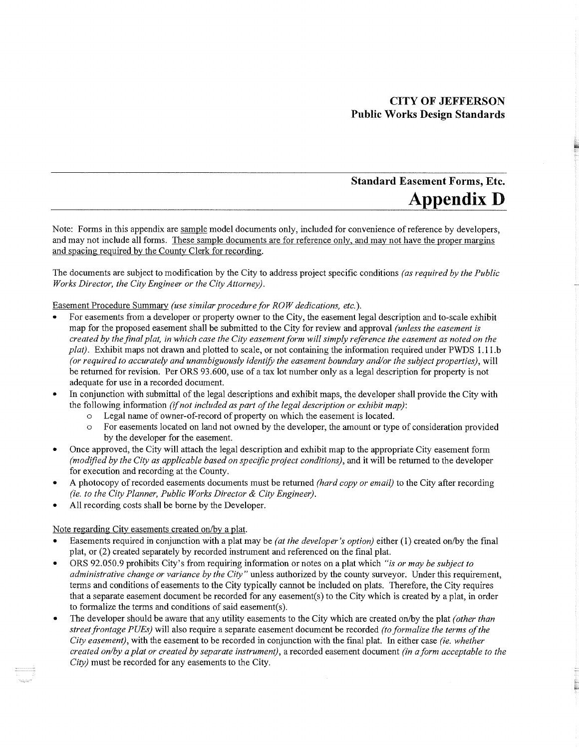# **Standard Easement Forms, Etc. AppendixD**

Note: Forms in this appendix are sample model documents only, included for convenience ofreference by developers, and may not include all forms. These sample documents are for reference only, and may not have the proper margins and spacing required by the County Clerk for recording.

The documents are subject to modification by the City to address project specific conditions *(as required by the Public Works Director, the City Engineer or the City Attorney).* 

#### Easement Procedure Summary *(use similar procedure for ROW dedications, etc.).*

- For easements from a developer or property owner to the City, the easement legal description and to-scale exhibit map for the proposed easement shall be submitted to the City for review and approval *(unless the easement is created by the final plat, in which case the City easement form will simply reference the easement as noted on the plat).* Exhibit maps not drawn and plotted to scale, or not containing the information required under PWDS 1.11. b (or required to accurately and unambiguously identify the easement boundary and/or the subject properties), will be returned for revision. Per ORS 93 .600, use of a tax lot number only as a legal description for property is not adequate for use in a recorded document.
- In conjunction with submittal of the legal descriptions and exhibit maps, the developer shall provide the City with the following information *(if not included as part of the legal description or exhibit map):* 
	- o Legal name of owner-of-record of property on which the easement is located.
	- o For easements located on land not owned by the developer, the amount or type of consideration provided by the developer for the easement.
- Once approved, the City will attach the legal description and exhibit map to the appropriate City easement form *(modified by the City as applicable based on specific project conditions)*, and it will be returned to the developer for execution and recording at the County.
- A photocopy ofrecorded easements documents must be returned *(hard copy or email)* to the City after recording *(ie. to the City Planner, Public Works Director* & *City Enginee1J*
- All recording costs shall be borne by the Developer.

Note regarding City easements created on/by a plat.

- Easements required in conjunction with a plat may be *(at the developer's option)* either (1) created on/by the fmal plat, or (2) created separately by recorded instrument and referenced on the fmal plat.
- ORS 92.050.9 prohibits City's from requiring information or notes on a plat which *"is or may be subject to administrative change or variance by the City"* unless authorized by the county surveyor. Under this requirement, terms and conditions of easements to the City typically cannot be included on plats. Therefore, the City requires that a separate easement document be recorded for any easement(s) to the City which is created by a plat, in order to formalize the terms and conditions of said easement(s ).
- The developer should be aware that any utility easements to the City which are created on/by the plat *(other than street fi·ontage PUEs)* will also require a separate easement document be recorded *(to formalize the terms of the City easement),* with the easement to be recorded in conjunction with the fmal plat. In either case *(ie. whether created on/by a plat or created by separate instrument),* a recorded easement document *(in a form acceptable to the City)* must be recorded for any easements to the City.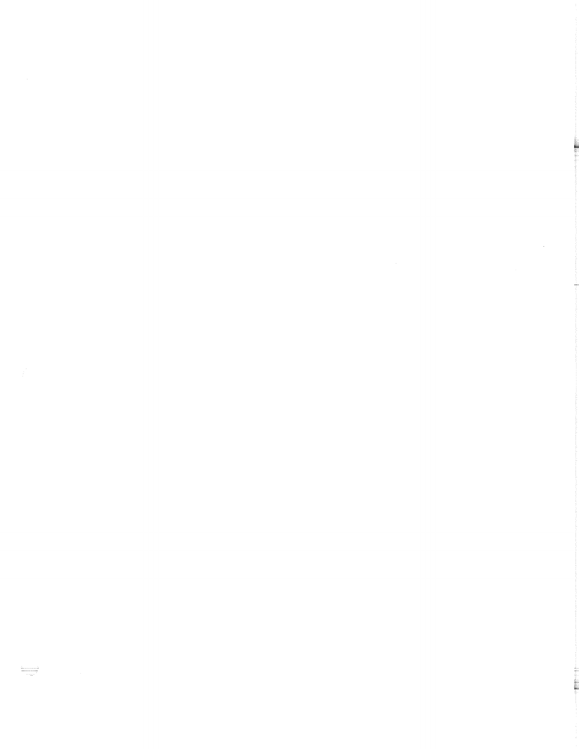$\label{eq:2} \frac{1}{2} \int_{\mathbb{R}^3} \frac{1}{\sqrt{2}} \, \frac{1}{\sqrt{2}} \, \frac{1}{\sqrt{2}} \, \frac{1}{\sqrt{2}} \, \frac{1}{\sqrt{2}} \, \frac{1}{\sqrt{2}} \, \frac{1}{\sqrt{2}} \, \frac{1}{\sqrt{2}} \, \frac{1}{\sqrt{2}} \, \frac{1}{\sqrt{2}} \, \frac{1}{\sqrt{2}} \, \frac{1}{\sqrt{2}} \, \frac{1}{\sqrt{2}} \, \frac{1}{\sqrt{2}} \, \frac{1}{\sqrt{2}} \, \frac{1}{\sqrt{2}} \, \frac$ 

 $\begin{aligned} \begin{array}{c} \mathbf{1}_{\mathcal{M}} & \mathbf{1}_{\mathcal{M}} & \mathbf{1}_{\mathcal{M}} & \mathbf{1}_{\mathcal{M}} & \mathbf{1}_{\mathcal{M}} & \mathbf{1}_{\mathcal{M}} & \mathbf{1}_{\mathcal{M}} & \mathbf{1}_{\mathcal{M}} & \mathbf{1}_{\mathcal{M}} & \mathbf{1}_{\mathcal{M}} & \mathbf{1}_{\mathcal{M}} & \mathbf{1}_{\mathcal{M}} & \mathbf{1}_{\mathcal{M}} & \mathbf{1}_{\mathcal{M}} & \mathbf{1}_{\mathcal{M}} & \mathbf{1}_{\mathcal{M}} &$ 

 $\frac{2}{\frac{1}{2} \left( \frac{1}{2} \right) \left( \frac{1}{2} \right) \left( \frac{1}{2} \right) \left( \frac{1}{2} \right) \left( \frac{1}{2} \right) }$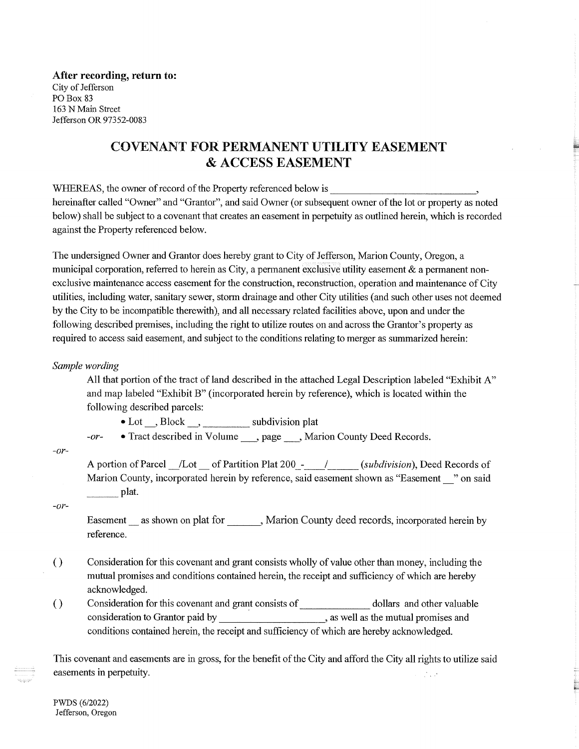**After recording, return to:**  City of Jefferson PO Box 83 163 N Main Street Jefferson OR 97352-0083

## COVENANT **FOR PERMANENT UTILITY EASEMENT**  & **ACCESS EASEMENT**

WHEREAS, the owner of record of the Property referenced below is

hereinafter called "Owner" and "Grantor", and said Owner (or subsequent owner of the lot or property as noted below) shall be subject to a covenant that creates an easement in perpetuity as outlined herein, which is recorded against the Property referenced below.

The undersigned Owner and Grantor does hereby grant to City of Jefferson, Marion County, Oregon, a municipal corporation, referred to herein as City, a permanent exclusive utility easement  $\&$  a permanent nonexclusive maintenance access easement for the construction, reconstruction, operation and maintenance of City utilities, including water, sanitary sewer, storm drainage and other City utilities (and such other uses not deemed by the City to be incompatible therewith), and all necessary related facilities above, upon and under the following described premises, including the right to utilize routes on and across the Grantor's property as required to access said easement, and subject to the conditions relating to merger as summarized herein:

#### *Sample wording*

All that portion of the tract of land described in the attached Legal Description labeled "Exhibit A" and map labeled "Exhibit B" (incorporated herein by reference), which is located within the following described parcels:

• Lot \_, Block \_, \_\_\_\_\_\_\_\_\_\_ subdivision plat

*-or-* • Tract described in Volume \_, page\_, Marion County Deed Records.

## *-or-*

A portion of Parcel /Lot of Partition Plat 200 - / (subdivision), Deed Records of Marion County, incorporated herein by reference, said easement shown as "Easement " on said plat.

#### *-or-*

Easement as shown on plat for , Marion County deed records, incorporated herein by reference.

- () Consideration for this covenant and grant consists wholly of value other than money, including the mutual promises and conditions contained herein, the receipt and sufficiency of which are hereby acknowledged.
- () Consideration for this covenant and grant consists of \_\_\_\_\_\_ dollars and other valuable consideration to Grantor paid by , as well as the mutual promises and conditions contained herein, the receipt and sufficiency of which are hereby acknowledged.

This covenant and easements are in gross, for the benefit of the City and afford the City all rights to utilize said easements in perpetuity.  $\mathcal{L}^{\text{c}}$  ,  $\mathcal{L}^{\text{c}}$  ,  $\mathcal{L}^{\text{c}}$ 

PWDS (6/2022) Jefferson, Oregon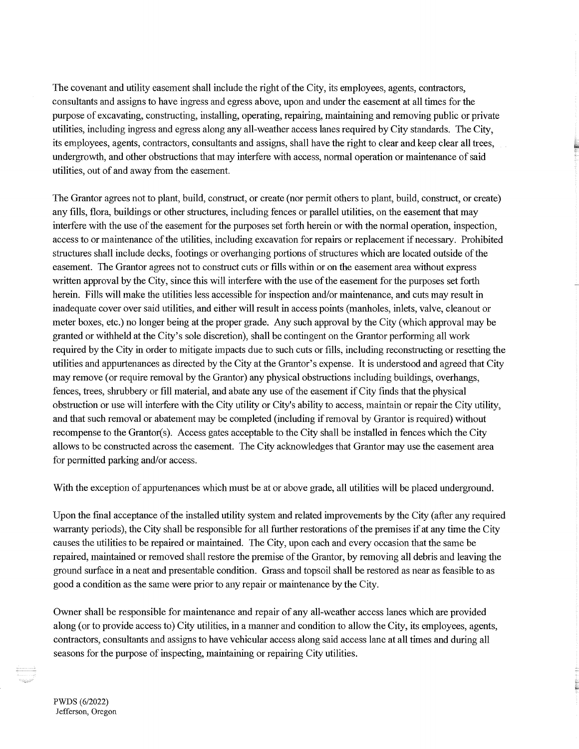The covenant and utility easement shall include the right of the City, its employees, agents, contractors, consultants and assigns to have ingress and egress above, upon and under the easement at all times for the purpose of excavating, constructing, installing, operating, repairing, maintaining and removing public or private utilities, including ingress and egress along any all-weather access lanes required by City standards. The City, its employees, agents, contractors, consultants and assigns, shall have the right to clear and keep clear all trees, undergrowth, and other obstructions that may interfere with access, normal operation or maintenance of said utilities, out of and away from the easement.

The Grantor agrees not to plant, build, construct, or create (nor pennit others to plant, build, construct, or create) any fills, flora, buildings or other structures, including fences or parallel utilities, on the easement that may interfere with the use of the easement for the purposes set forth herein or with the normal operation, inspection, access to or maintenance of the utilities, including excavation for repairs or replacement if necessary. Prohibited structures shall include decks, footings or overhanging portions of structures which are located outside of the easement. The Grantor agrees not to construct cuts or fills within or on the easement area without express written approval by the City, since this will interfere with the use of the easement for the purposes set forth herein. Fills will make the utilities less accessible for inspection and/or maintenance, and cuts may result in inadequate cover over said utilities, and either will result in access points (manholes, inlets, valve, cleanout or meter boxes, etc.) no longer being at the proper grade. Any such approval by the City (which approval may be granted or withheld at the City's sole discretion), shall be contingent on the Grantor performing all work required by the City in order to mitigate impacts due to such cuts or fills, including reconstructing or resetting the utilities and appurtenances as directed by the City at the Grantor's expense. It is understood and agreed that City may remove (or require removal by the Grantor) any physical obstructions including buildings, overhangs, fences, trees, shrubbery or fill material, and abate any use of the easement if City finds that the physical obstruction or use will interfere with the City utility or City's ability to access, maintain or repair the City utility, and that such removal or abatement may be completed (including if removal by Grantor is required) without recompense to the Grantor(s). Access gates acceptable to the City shall be installed in fences which the City allows to be constructed across the easement. The City acknowledges that Grantor may use the easement area for permitted parking and/or access.

With the exception of appurtenances which must be at or above grade, all utilities will be placed underground.

Upon the final acceptance of the installed utility system and related improvements by the City (after any required warranty periods), the City shall be responsible for all further restorations of the premises if at any time the City causes the utilities to be repaired or maintained. The City, upon each and every occasion that the same be repaired, maintained or removed shall restore the premise of the Grantor, by removing all debris and leaving the ground surface in a neat and presentable condition. Grass and topsoil shall be restored as near as feasible to as good a condition as the same were prior to any repair or maintenance by the City.

Owner shall be responsible for maintenance and repair of any all-weather access lanes which are provided along (or to provide access to) City utilities, in a manner and condition to allow the City, its employees, agents, contractors, consultants and assigns to have vehicular access along said access lane at all times and during all seasons for the purpose of inspecting, maintaining or repairing City utilities.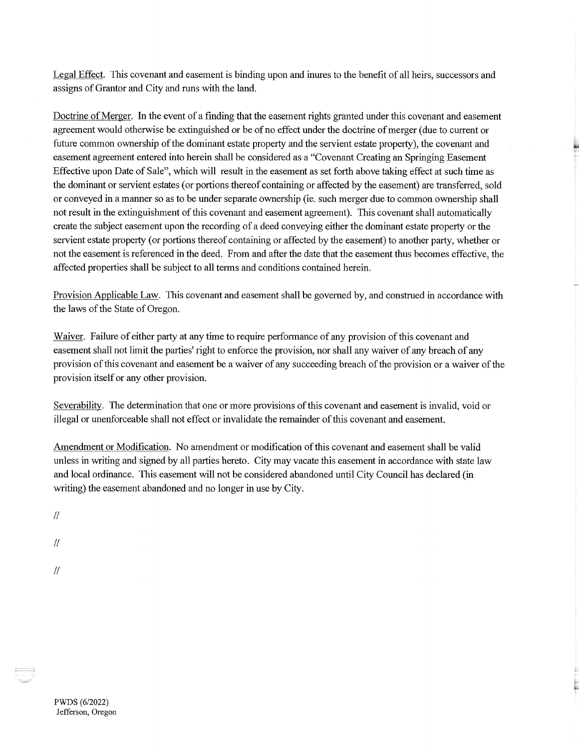Legal Effect. This covenant and easement is binding upon and inures to the benefit of all heirs, successors and assigns of Grantor and City and runs with the land.

Doctrine of Merger. In the event of a finding that the easement rights granted under this covenant and easement agreement would otherwise be extinguished or be of no effect under the doctrine of merger (due to current or future common ownership of the dominant estate property and the servient estate property), the covenant and easement agreement entered into herein shall be considered as a "Covenant Creating an Springing Easement Effective upon Date of Sale", which will result in the easement as set forth above taking effect at such time as the dominant or servient estates (or portions thereof containing or affected by the easement) are transferred, sold or conveyed in a manner so as to be under separate ownership (ie. such merger due to common ownership shall not result in the extinguishment of this covenant and easement agreement). This covenant shall automatically create the subject easement upon the recording of a deed conveying either the dominant estate property or the servient estate property (or portions thereof containing or affected by the easement) to another party, whether or not the easement is referenced in the deed. From and after the date that the easement thus becomes effective, the affected properties shall be subject to all terms and conditions contained herein.

E

Provision Applicable Law. This covenant and easement shall be governed by, and construed in accordance with the laws of the State of Oregon.

Waiver. Failure of either party at any time to require performance of any provision of this covenant and easement shall not limit the parties' right to enforce the provision, nor shall any waiver of any breach of any provision of this covenant and easement be a waiver of any succeeding breach of the provision or a waiver of the provision itself or any other provision.

Severability. The determination that one or more provisions of this covenant and easement is invalid, void or illegal or unenforceable shall not effect or invalidate the remainder of this covenant and easement.

Amendment or Modification. No amendment or modification of this covenant and easement shall be valid unless in writing and signed by all parties hereto. City may vacate this easement in accordance with state law and local ordinance. This easement will not be considered abandoned until City Council has declared (in writing) the easement abandoned and no longer in use by City.

 $\label{eq:1}$ 

 $\mathcal{U}$ 

 $\mathcal{U}$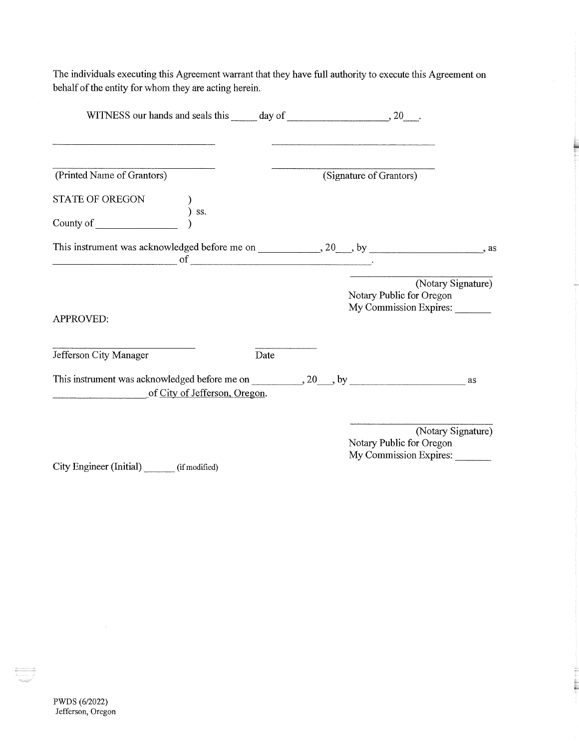The individuals executing this Agreement warrant that they have full authority to execute this Agreement on behalf of the entity for whom they are acting herein.

F

・看護の手で

| (Printed Name of Grantors)                                                                            | (Signature of Grantors)                                                  |
|-------------------------------------------------------------------------------------------------------|--------------------------------------------------------------------------|
| <b>STATE OF OREGON</b><br>SS.                                                                         |                                                                          |
| County of $\qquad \qquad$                                                                             |                                                                          |
| This instrument was acknowledged before me on $\_\_\_\_$ , 20, by $\_\_\_\_$ , by $\_\_\_\_\_\_$ , as |                                                                          |
| APPROVED:                                                                                             | (Notary Signature)<br>Notary Public for Oregon<br>My Commission Expires: |
| Jefferson City Manager<br>Date                                                                        |                                                                          |
| of City of Jefferson, Oregon.                                                                         | as                                                                       |
| City Engineer (Initial) (if modified)                                                                 | (Notary Signature)<br>Notary Public for Oregon<br>My Commission Expires: |

 $\mathcal{A}^{\mathcal{A}}$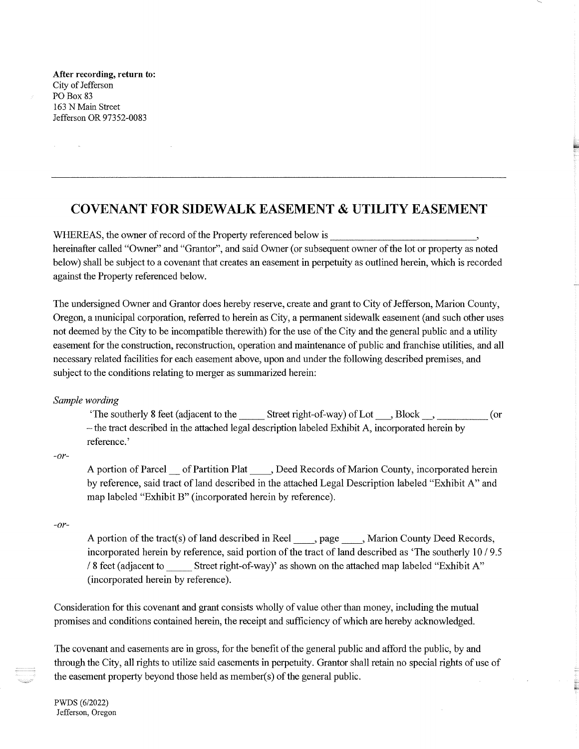After recording, return to: City of Jefferson PO Box 83 163 N Main Street Jefferson OR 97352-0083

## COVENANT FOR SIDEWALK EASEMENT & UTILITY EASEMENT

WHEREAS, the owner of record of the Property referenced below is

hereinafter called "Owner" and "Grantor", and said Owner (or subsequent owner of the lot or property as noted below) shall be subject to a covenant that creates an easement in perpetuity as outlined herein, which is recorded against the Property referenced below.

The undersigned Owner and Grantor does hereby reserve, create and grant to City of Jefferson, Marion County, Oregon, a municipal corporation, referred to herein as City, a pennanent sidewalk easement (and such other uses not deemed by the City to be incompatible therewith) for the use of the City and the general public and a utility easement for the construction, reconstruction, operation and maintenance of public and franchise utilities, and all necessary related facilities for each easement above, upon and under the following described premises, and subject to the conditions relating to merger as summarized herein:

### *Sample wording*

'The southerly 8 feet (adjacent to the \_\_ Street right-of-way) of Lot\_, Block\_, (or - the tract described in the attached legal description labeled Exhibit A, incorporated herein by reference.'

*-or-*

A portion of Parcel of Partition Plat , Deed Records of Marion County, incorporated herein by reference, said tract of land described in the attached Legal Description labeled "Exhibit A" and map labeled "Exhibit B" (incorporated herein by reference).

#### *-or-*

A portion of the tract(s) of land described in Reel \_\_\_\_, page \_\_\_\_, Marion County Deed Records, incorporated herein by reference, said portion of the tract of land described as 'The southerly 10/9.5 / 8 feet (adjacent to Street right-of-way)' as shown on the attached map labeled "Exhibit A" (incorporated herein by reference).

Consideration for this covenant and grant consists wholly of value other than money, including the mutual promises and conditions contained herein, the receipt and sufficiency of which are hereby acknowledged.

The covenant and easements are in gross, for the benefit of the general public and afford the public, by and through the City, all rights to utilize said easements in perpetuity. Grantor shall retain no special rights of use of the easement property beyond those held as member(s) of the general public.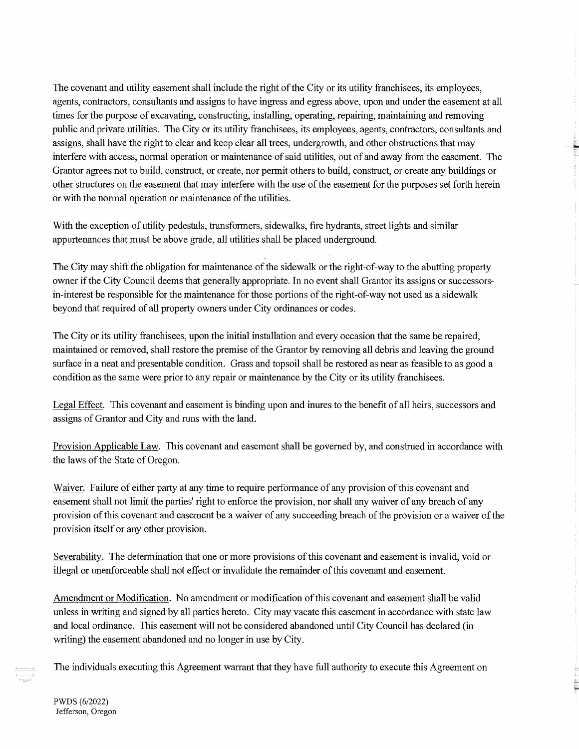The covenant and utility easement shall include the right of the City or its utility franchisees, its employees, agents, contractors, consultants and assigns to have ingress and egress above, upon and under the easement at all times for the purpose of excavating, constructing, installing, operating, repairing, maintaining and removing public and private utilities. The City or its utility franchisees, its employees, agents, contractors, consultants and assigns, shall have the right to clear and keep clear all trees, undergrowth, and other obstructions that may interfere with access, normal operation or maintenance of said utilities, out of and away from the easement. The Grantor agrees not to build, construct, or create, nor permit others to build, construct, or create any buildings or other structures on the easement that may interfere with the use of the easement for the purposes set forth herein or with the normal operation or maintenance of the utilities.

Ë

With the exception of utility pedestals, transformers, sidewalks, fire hydrants, street lights and similar appurtenances that must be above grade, all utilities shall be placed underground.

The City may shift the obligation for maintenance of the sidewalk or the right-of-way to the abutting property owner if the City Council deems that generally appropriate. In no event shall Grantor its assigns or successorsin-interest be responsible for the maintenance for those portions of the right-of-way not used as a sidewalk beyond that required of all property owners under City ordinances or codes.

The City or its utility franchisees, upon the initial installation and every occasion that the same be repaired, maintained or removed, shall restore the premise of the Grantor by removing all debris and leaving the ground surface in a neat and presentable condition. Grass and topsoil shall be restored as near as feasible to as good a condition as the same were prior to any repair or maintenance by the City or its utility franchisees.

Legal Effect. This covenant and easement is binding upon and inures to the benefit of all heirs, successors and assigns of Grantor and City and runs with the land.

Provision Applicable Law. This covenant and easement shall be governed by, and construed in accordance with the laws of the State of Oregon.

Waiver. Failure of either party at any time to require performance of any provision of this covenant and easement shall not limit the parties' right to enforce the provision, nor shall any waiver of any breach of any provision of this covenant and easement be a waiver of any succeeding breach of the provision or a waiver of the provision itself or any other provision.

Severability. The determination that one or more provisions of this covenant and easement is invalid, void or illegal or unenforceable shall not effect or invalidate the remainder of this covenant and easement.

Amendment or Modification. No amendment or modification of this covenant and easement shall be valid unless in writing and signed by all parties hereto. City may vacate this easement in accordance with state law and local ordinance. This easement will not be considered abandoned until City Council has declared (in writing) the easement abandoned and no longer in use by City.

The individuals executing this Agreement warrant that they have full authority to execute this Agreement on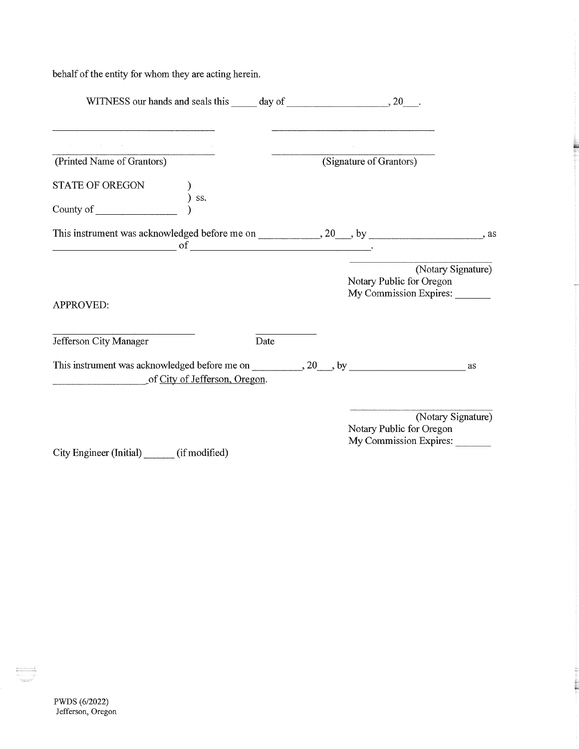behalf of the entity for whom they are acting herein.

| (Printed Name of Grantors)                                                                                                                                                                                                                                                                                                                                                                                                                                                                                                                                                            | (Signature of Grantors)                                                  |
|---------------------------------------------------------------------------------------------------------------------------------------------------------------------------------------------------------------------------------------------------------------------------------------------------------------------------------------------------------------------------------------------------------------------------------------------------------------------------------------------------------------------------------------------------------------------------------------|--------------------------------------------------------------------------|
| <b>STATE OF OREGON</b><br>SS.                                                                                                                                                                                                                                                                                                                                                                                                                                                                                                                                                         |                                                                          |
| County of $\qquad \qquad$                                                                                                                                                                                                                                                                                                                                                                                                                                                                                                                                                             |                                                                          |
| This instrument was acknowledged before me on $\frac{20}{100}$ , by $\frac{1}{20}$ , by $\frac{1}{20}$<br>$\overline{\text{of}}$ $\overline{\text{of}}$ $\overline{\text{of}}$ $\overline{\text{of}}$ $\overline{\text{of}}$ $\overline{\text{of}}$ $\overline{\text{of}}$ $\overline{\text{of}}$ $\overline{\text{of}}$ $\overline{\text{of}}$ $\overline{\text{of}}$ $\overline{\text{of}}$ $\overline{\text{of}}$ $\overline{\text{of}}$ $\overline{\text{of}}$ $\overline{\text{of}}$ $\overline{\text{of}}$ $\overline{\text{of}}$ $\overline{\text{of}}$ $\overline{\text{of}}$ |                                                                          |
| APPROVED:                                                                                                                                                                                                                                                                                                                                                                                                                                                                                                                                                                             | (Notary Signature)<br>Notary Public for Oregon<br>My Commission Expires: |
| Jefferson City Manager<br>Date                                                                                                                                                                                                                                                                                                                                                                                                                                                                                                                                                        |                                                                          |
| of City of Jefferson, Oregon.                                                                                                                                                                                                                                                                                                                                                                                                                                                                                                                                                         |                                                                          |
| City Engineer (Initial) (if modified)                                                                                                                                                                                                                                                                                                                                                                                                                                                                                                                                                 | (Notary Signature)<br>Notary Public for Oregon<br>My Commission Expires: |

Ē

Ź.

○■ 別野 小野 小手

PWDS (6/2022) Jefferson, Oregon

 $\begin{array}{c|c} \begin{array}{c} \begin{array}{c} \begin{array}{c} \begin{array}{c} \begin{array}{c} \end{array} \\ \end{array} \\ \hline \end{array} \\ \hline \end{array} \\ \begin{array}{c} \begin{array}{c} \end{array} \\ \end{array} \\ \end{array} \\ \end{array} \end{array} \end{array} \end{array} \begin{array}{c} \begin{array}{c} \begin{array}{c} \end{array} \\ \end{array} \\ \begin{array}{c} \begin{array}{c} \begin{array}{c} \end{array} \\ \end{array} \\ \end{array} \end{array} \end{array} \end{array} \begin{array}{c} \$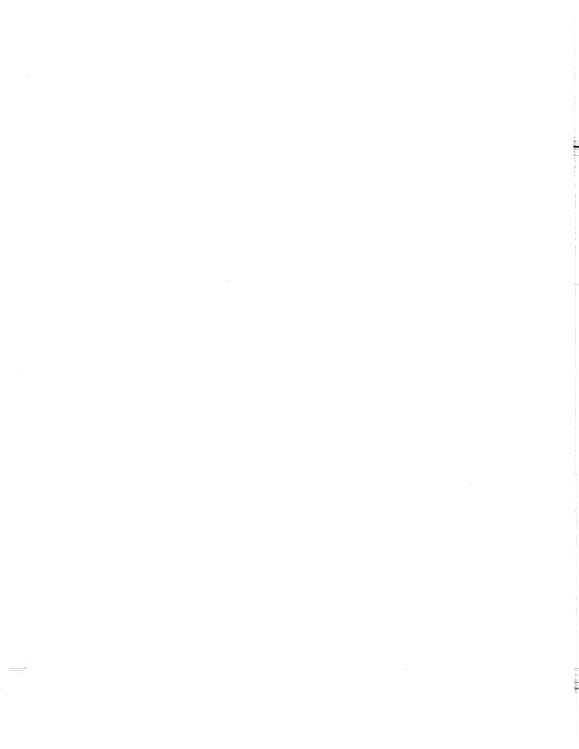$\begin{picture}(20,10) \put(0,0){\vector(1,0){100}} \put(15,0){\vector(1,0){100}} \put(15,0){\vector(1,0){100}} \put(15,0){\vector(1,0){100}} \put(15,0){\vector(1,0){100}} \put(15,0){\vector(1,0){100}} \put(15,0){\vector(1,0){100}} \put(15,0){\vector(1,0){100}} \put(15,0){\vector(1,0){100}} \put(15,0){\vector(1,0){100}} \put(15,0){\vector(1,0){100}} \$ 

 $\label{eq:2.1} \frac{1}{2} \sum_{i=1}^n \frac{1}{2} \sum_{j=1}^n \frac{1}{2} \sum_{j=1}^n \frac{1}{2} \sum_{j=1}^n \frac{1}{2} \sum_{j=1}^n \frac{1}{2} \sum_{j=1}^n \frac{1}{2} \sum_{j=1}^n \frac{1}{2} \sum_{j=1}^n \frac{1}{2} \sum_{j=1}^n \frac{1}{2} \sum_{j=1}^n \frac{1}{2} \sum_{j=1}^n \frac{1}{2} \sum_{j=1}^n \frac{1}{2} \sum_{j=1}^n \frac{$ 

11:10 11:11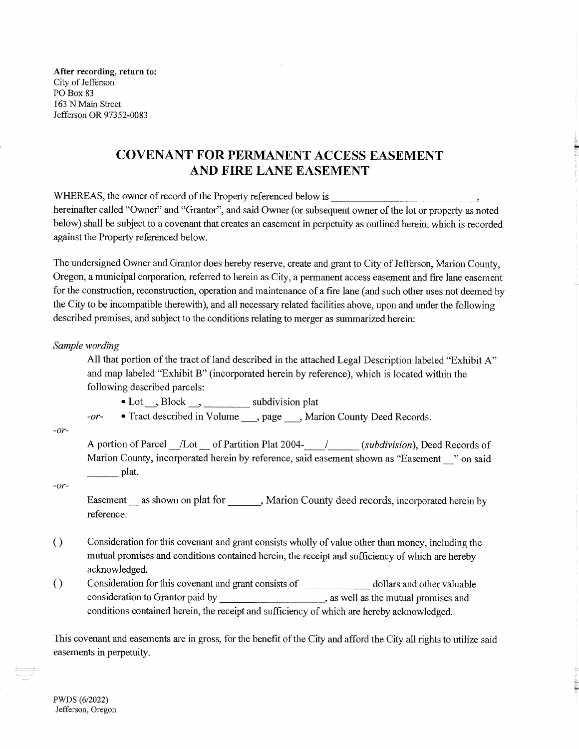After recording, return to: City of Jefferson PO Box 83 163 N Main Street Jefferson OR 97352-0083

## **COVENANT FOR PERMANENT ACCESS EASEMENT AND FIRE LANE EASEMENT**

WHEREAS, the owner of record of the Property referenced below is

hereinafter called "Owner" and "Grantor", and said Owner (or subsequent owner of the lot or property as noted below) shall be subject to a covenant that creates an easement in perpetuity as outlined herein, which is recorded against the Property referenced below.

The undersigned Owner and Grantor does hereby reserve, create and grant to City of Jefferson, Marion County, Oregon, a municipal corporation, referred to herein as City, a permanent access easement and fire lane easement for the construction, reconstruction, operation and maintenance of a fire lane (and such other uses not deemed by the City to be incompatible therewith), and all necessary related facilities above, upon and under the following described premises, and subject to the conditions relating to merger as summarized herein:

### *Sample wording*

All that portion of the tract of land described in the attached Legal Description labeled "Exhibit A" and map labeled "Exhibit B" (incorporated herein by reference), which is located within the following described parcels:

• Lot \_, Block \_, \_\_\_\_\_\_\_ subdivision plat

*-or-* • Tract described in Volume\_, page \_, Marion County Deed Records.

### *-or-*

A portion of Parcel \_/Lot of Partition Plat 2004- / *(subdivision), Deed Records of* Marion County, incorporated herein by reference, said easement shown as "Easement " on said plat.

#### *-or-*

Easement as shown on plat for , Marion County deed records, incorporated herein by reference.

- () Consideration for this covenant and grant consists wholly of value other than money, including the mutual promises and conditions contained herein, the receipt and sufficiency of which are hereby acknowledged.
- () Consideration for this covenant and grant consists of \_\_\_\_\_\_\_\_\_\_\_\_\_\_\_\_\_\_\_\_\_\_ dollars and other valuable consideration to Grantor paid by , as well as the mutual promises and conditions contained herein, the receipt and sufficiency of which are hereby acknowledged.

This covenant and easements are in gross, for the benefit of the City and afford the City all rights to utilize said easements in perpetuity.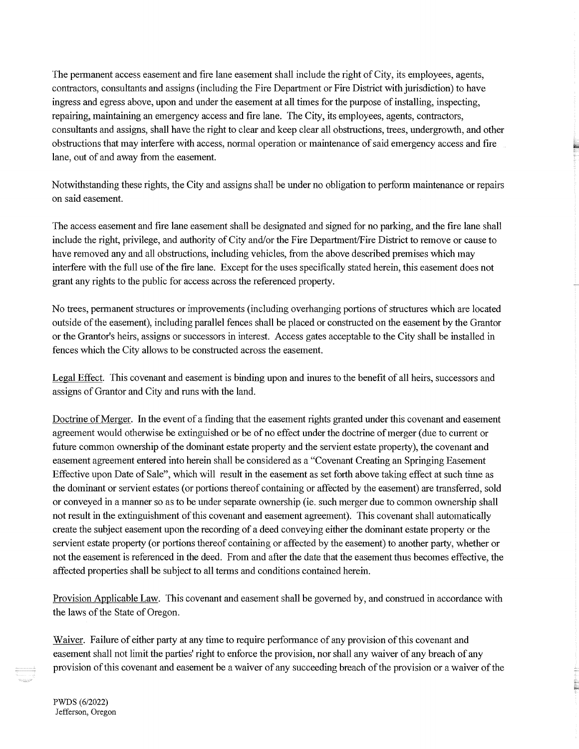The permanent access easement and fire lane easement shall include the right of City, its employees, agents, contractors, consultants and assigns (including the Fire Department or Fire District with jurisdiction) to have ingress and egress above, upon and under the easement at all times for the purpose of installing, inspecting, repairing, maintaining an emergency access and fire lane. The City, its employees, agents, contractors, consultants and assigns, shall have the right to clear and keep clear all obstructions, trees, undergrowth, and other obstructions that may interfere with access, nonnal operation or maintenance of said emergency access and fire lane, out of and away from the easement.

Notwithstanding these rights, the City and assigns shall be under no obligation to perfonn maintenance or repairs on said easement.

The access easement and fire lane easement shall be designated and signed for no parking, and the fire lane shall include the right, privilege, and authority of City and/or the Fire Department/Fire District to remove or cause to have removed any and all obstructions, including vehicles, from the above described premises which may interfere with the full use of the fire lane. Except for the uses specifically stated herein, this easement does not grant any rights to the public for access across the referenced property.

No trees, permanent structures or improvements (including overhanging portions of structures which are located outside of the easement), including parallel fences shall be placed or constructed on the easement by the Grantor or the Grantor's heirs, assigns or successors in interest. Access gates acceptable to the City shall be installed in fences which the City allows to be constructed across the easement.

Legal Effect. This covenant and easement is binding upon and inures to the benefit of all heirs, successors and assigns of Grantor and City and runs with the land.

Doctrine of Merger. In the event of a finding that the easement rights granted under this covenant and easement agreement would otherwise be extinguished or be of no effect under the doctrine of merger (due to current or future common ownership of the dominant estate property and the servient estate property), the covenant and easement agreement entered into herein shall be considered as a "Covenant Creating an Springing Easement Effective upon Date of Sale", which will result in the easement as set forth above taking effect at such time as the dominant or servient estates (or portions thereof containing or affected by the easement) are transferred, sold or conveyed in a manner so as to be under separate ownership (ie. such merger due to common ownership shall not result in the extinguishrnent of this covenant and easement agreement). This covenant shall automatically create the subject easement upon the recording of a deed conveying either the dominant estate property or the servient estate property (or portions thereof containing or affected by the easement) to another party, whether or not the easement is referenced in the deed. From and after the date that the easement thus becomes effective, the affected properties shall be subject to all tenns and conditions contained herein.

Provision Applicable Law. This covenant and easement shall be governed by, and construed in accordance with the laws of the State of Oregon.

Waiver. Failure of either party at any time to require performance of any provision of this covenant and easement shall not limit the parties' right to enforce the provision, nor shall any waiver of any breach of any provision of this covenant and easement be a waiver of any succeeding breach of the provision or a waiver of the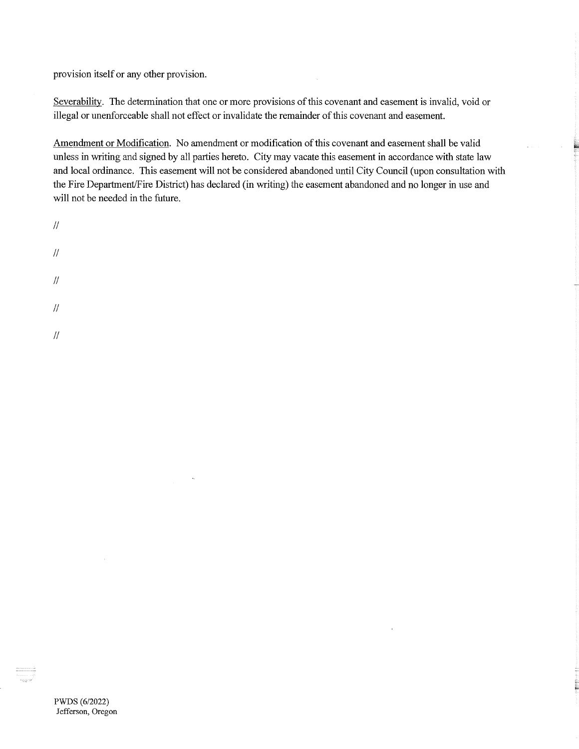provision itself or any other provision.

Severability. The determination that one or more provisions of this covenant and easement is invalid, void or illegal or unenforceable shall not effect or invalidate the remainder of this covenant and easement.

Amendment or Modification. No amendment or modification of this covenant and easement shall be valid unless in writing and signed by all parties hereto. City may vacate this easement in accordance with state law and local ordinance. This easement will not be considered abandoned **until** City Council (upon consultation with the Fire Department/Fire District) has declared (in writing) the easement abandoned and no longer in use and will not be needed **in** the future.

È

- $\mathcal{U}$
- $\mathcal{U}$
- 
- $\mathcal{U}$
- $\overline{11}$
- $\sqrt{2}$

PWDS (6/2022) Jefferson, Oregon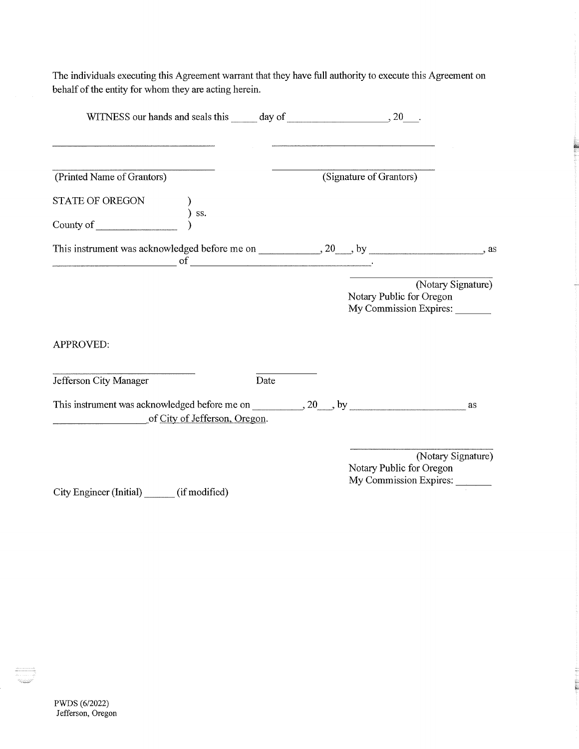The individuals executing this Agreement warrant that they have full authority to execute this Agreement on behalf of the entity for whom they are acting herein.

È

**Thillie** 

| (Printed Name of Grantors)                                                                                                      | (Signature of Grantors)                            |                    |
|---------------------------------------------------------------------------------------------------------------------------------|----------------------------------------------------|--------------------|
| <b>STATE OF OREGON</b>                                                                                                          |                                                    |                    |
| County of<br>SS.                                                                                                                |                                                    |                    |
| $\overbrace{\text{of}}$ $\overbrace{\text{of}}$ $\overbrace{\text{}}$                                                           |                                                    |                    |
|                                                                                                                                 | Notary Public for Oregon<br>My Commission Expires: | (Notary Signature) |
| APPROVED:                                                                                                                       |                                                    |                    |
| Jefferson City Manager<br>Date                                                                                                  |                                                    |                    |
| This instrument was acknowledged before me on $\_\_\_\_$ , 20, by $\_\_\_\_$ , by $\_\_\_\_\_$<br>of City of Jefferson, Oregon. |                                                    | as                 |
|                                                                                                                                 | Notary Public for Oregon<br>My Commission Expires: | (Notary Signature) |
| City Engineer (Initial) ______ (if modified)                                                                                    |                                                    |                    |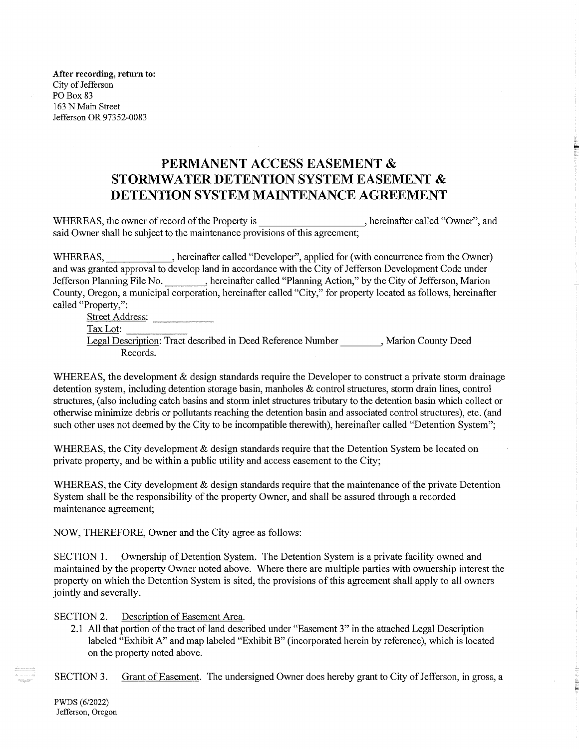After recording, return to: City of Jefferson PO Box 83 163 N Main Street Jefferson OR 97352-0083

## PERMANENT ACCESS EASEMENT & STORMWATER DETENTION SYSTEM EASEMENT & DETENTION SYSTEM MAINTENANCE AGREEMENT

WHEREAS, the owner of record of the Property is \_\_\_\_\_\_\_\_\_\_\_\_\_\_\_\_\_\_\_\_, hereinafter called "Owner", and said Owner shall be subject to the maintenance provisions of this agreement;

WHEREAS, hereinafter called "Developer", applied for (with concurrence from the Owner) and was granted approval to develop land in accordance with the City of Jefferson Development Code under Jefferson Planning File No. hereinafter called "Planning Action," by the City of Jefferson, Marion County, Oregon, a municipal corporation, hereinafter called "City," for property located as follows, hereinafter called "Property,":

Street Address:<br>Tax Lot: Legal Description: Tract described in Deed Reference Number \_\_\_\_ , Marion County Deed Records.

WHEREAS, the development & design standards require the Developer to construct a private storm drainage detention system, including detention storage basin, manholes & control structures, storm drain lines, control structures, (also including catch basins and stonn inlet structures tributary to the detention basin which collect or otherwise minimize debris or pollutants reaching the detention basin and associated control structures), etc. (and such other uses not deemed by the City to be incompatible therewith), hereinafter called "Detention System";

WHEREAS, the City development & design standards require that the Detention System be located on private property, and be within a public utility and access easement to the City;

WHEREAS, the City development & design standards require that the maintenance of the private Detention System shall be the responsibility of the property Owner, and shall be assured through a recorded maintenance agreement;

NOW, THEREFORE, Owner and the City agree as follows:

SECTION 1. Ownership of Detention System. The Detention System is a private facility owned and maintained by the property Owner noted above. Where there are multiple parties with ownership interest the property on which the Detention System is sited, the provisions of this agreement shall apply to all owners jointly and severally.

SECTION 2. Description of Easement Area.

2.1 All that portion of the tract of land described under "Easement 3" in the attached Legal Description labeled "Exhibit A" and map labeled "Exhibit B" (incorporated herein by reference), which is located on the property noted above.

SECTION 3. Grant of Easement. The undersigned Owner does hereby grant to City of Jefferson, in gross, a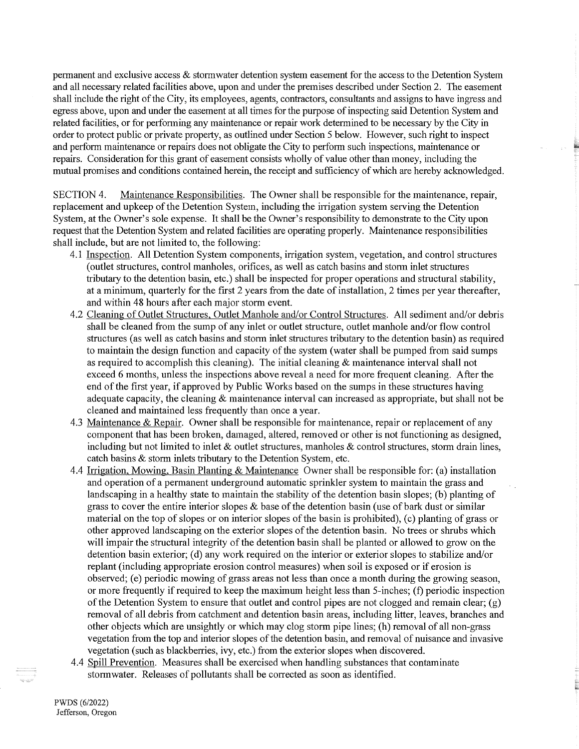permanent and exclusive access & stormwater detention system easement for the access to the Detention System and all necessary related facilities above, upon and under the premises described under Section 2. The easement shall include the right of the City, its employees, agents, contractors, consultants and assigns to have ingress and egress above, upon and under the easement at all times for the purpose of inspecting said Detention System and related facilities, or for perfonning any maintenance or repair work determined to be necessary by the City in order to protect public or private property, as outlined under Section 5 below. However, such right to inspect and perform maintenance or repairs does not obligate the City to perform such inspections, maintenance or repairs. Consideration for this grant of easement consists wholly of value other than money, including the mutual promises and conditions contained herein, the receipt and sufficiency of which are hereby acknowledged.

Ë

SECTION 4. Maintenance Responsibilities. The Owner shall be responsible for the maintenance, repair, replacement and upkeep of the Detention System, including the irrigation system serving the Detention System, at the Owner's sole expense. It shall be the Owner's responsibility to demonstrate to the City upon request that the Detention System and related facilities are operating properly. Maintenance responsibilities shall include, but are not limited to, the following:

- 4.1 Inspection. All Detention System components, irrigation system, vegetation, and control structures (outlet structures, control manholes, orifices, as well as catch basins and stonn inlet structures tributary to the detention basin, etc.) shall be inspected for proper operations and structural stability, at a minimum, quarterly for the first 2 years from the date of installation, 2 times per year thereafter, and within 48 hours after each major storm event.
- 4.2 Cleaning of Outlet Structures, Outlet Manhole and/or Control Structures. All sediment and/or debris shall be cleaned from the sump of any inlet or outlet structure, outlet manhole and/or flow control structures (as well as catch basins and storm inlet structures tributary to the detention basin) as required to maintain the design function and capacity of the system (water shall be pumped from said sumps as required to accomplish this cleaning). The initial cleaning  $\&$  maintenance interval shall not exceed 6 months, unless the inspections above reveal a need for more frequent cleaning. After the end of the first year, if approved by Public Works based on the sumps in these structures having adequate capacity, the cleaning & maintenance interval can increased as appropriate, but shall not be cleaned and maintained less frequently than once a year.
- 4.3 Maintenance & Repair. Owner shall be responsible for maintenance, repair or replacement of any component that has been broken, damaged, altered, removed or other is not functioning as designed, including but not limited to inlet & outlet structures, manholes & control structures, storm drain lines, catch basins & storm inlets tributary to the Detention System, etc.
- 4.4 Irrigation, Mowing, Basin Planting & Maintenance Owner shall be responsible for: (a) installation and operation of a permanent underground automatic sprinkler system to maintain the grass and landscaping in a healthy state to maintain the stability of the detention basin slopes; (b) planting of grass to cover the entire interior slopes & base of the detention basin (use of bark dust or similar material on the top of slopes or on interior slopes of the basin is prohibited), (c) planting of grass or other approved landscaping on the exterior slopes of the detention basin. No trees or shrubs which will impair the structural integrity of the detention basin shall be planted or allowed to grow on the detention basin exterior; (d) any work required on the interior or exterior slopes to stabilize and/or replant (including appropriate erosion control measures) when soil is exposed or if erosion is observed; (e) periodic mowing of grass areas not less than once a month during the growing season, or more frequently ifrequired to keep the maximum height less than 5-inches; (f) periodic inspection of the Detention System to ensure that outlet and control pipes are not clogged and remain clear;  $(g)$ removal of all debris from catchment and detention basin areas, including litter, leaves, branches and other objects which are unsightly or which may clog storm pipe lines; (h) removal of all non-grass vegetation from the top and interior slopes of the detention basin, and removal of nuisance and invasive vegetation (such as blackberries, ivy, etc.) from the exterior slopes when discovered.
- 4.4 Spill Prevention. Measures shall be exercised when handling substances that contaminate stormwater. Releases of pollutants shall be corrected as soon as identified.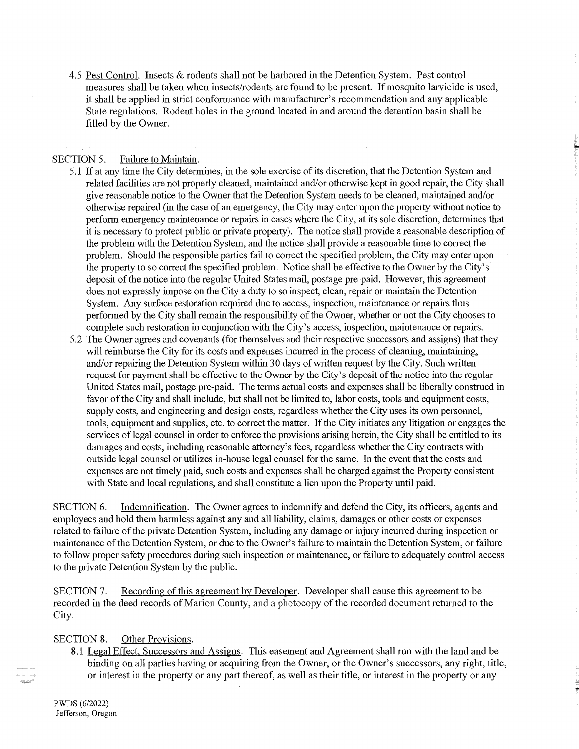4.5 Pest Control. Insects & rodents shall not be harbored in the Detention System. Pest control measures shall be taken when insects/rodents are found to be present. If mosquito larvicide is used, it shall be applied in strict conformance with manufacturer's recommendation and any applicable State regulations. Rodent holes in the ground located in and around the detention basin shall be filled by the Owner.

#### SECTION 5. Failure to Maintain.

- 5 .1 If at any time the City detennines, in the sole exercise of its discretion, that the Detention System and related facilities are not properly cleaned, maintained and/or otherwise kept in good repair, the City shall give reasonable notice to the Owner that the Detention System needs to be cleaned, maintained and/or otherwise repaired (in the case of an emergency, the City may enter upon the property without notice to perform emergency maintenance or repairs in cases where the City, at its sole discretion, detennines that it is necessary to protect public or private property). The notice shall provide a reasonable description of the problem with the Detention System, and the notice shall provide a reasonable time to cotrect the problem. Should the responsible parties fail to correct the specified problem, the City may enter upon the property to so correct the specified problem. Notice shall be effective to the Owner by the City's deposit of the notice into the regular United States mail, postage pre-paid. However, this agreement does not expressly impose on the City a duty to so inspect, clean, repair or maintain the Detention System. Any surface restoration required due to access, inspection, maintenance or repairs thus performed by the City shall remain the responsibility of the Owner, whether or not the City chooses to complete such restoration in conjunction with the City's access, inspection, maintenance or repairs.
- 5.2 The Owner agrees and covenants (for themselves and their respective successors and assigns) that they will reimburse the City for its costs and expenses incurred in the process of cleaning, maintaining, and/or repairing the Detention System within 30 days of written request by the City. Such written request for payment shall be effective to the Owner by the City's deposit of the notice into the regular United States mail, postage pre-paid. The tenns actual costs and expenses shall be liberally construed in favor of the City and shall include, but shall not be limited to, labor costs, tools and equipment costs, supply costs, and engineering and design costs, regardless whether the City uses its own personnel, tools, equipment and supplies, etc. to cotrect the matter. If the City initiates any litigation or engages the services of legal counsel in order to enforce the provisions arising herein, the City shall be entitled to its damages and costs, including reasonable attorney's fees, regardless whether the City contracts with outside legal counsel or utilizes in-house legal counsel for the same. In the event that the costs and expenses are not timely paid, such costs and expenses shall be charged against the Property consistent with State and local regulations, and shall constitute a lien upon the Property until paid.

SECTION 6. Indemnification. The Owner agrees to indemnify and defend the City, its officers, agents and employees and hold them hannless against any and all liability, claims, damages or other costs or expenses related to failure of the private Detention System, including any damage or injury incurred during inspection or maintenance of the Detention System, or due to the Owner's failure to maintain the Detention System, or failure to follow proper safety procedures during such inspection or maintenance, or failure to adequately control access to the private Detention System by the public.

SECTION 7. Recording of this agreement by Developer. Developer shall cause this agreement to be recorded in the deed records of Marion County, and a photocopy of the recorded document returned to the City.

#### SECTION 8. Other Provisions.

8.1 Legal Effect, Successors and Assigns. This easement and Agreement shall run with the land and be binding on all parties having or acquiring from the Owner, or the Owner's successors, any right, title, or interest in the property or any part thereof, as well as their title, or interest in the property or any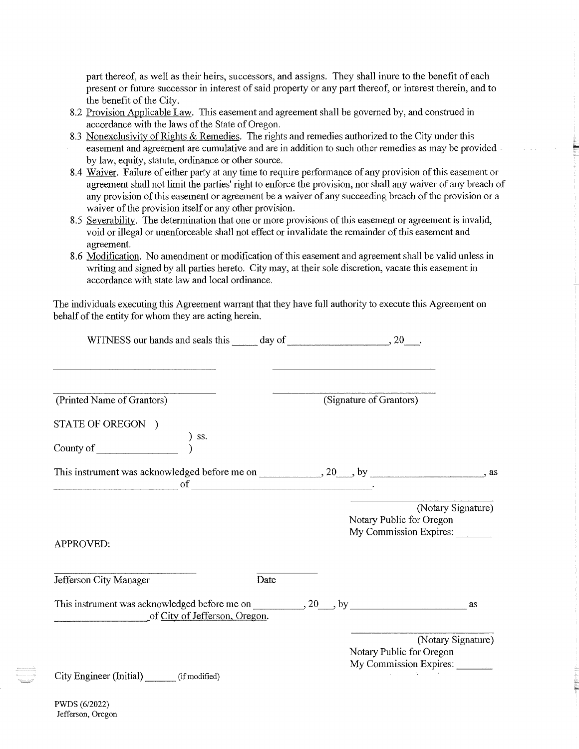part thereof, as well as their heirs, successors, and assigns. They shall inure to the benefit of each present or future successor in interest of said property or any part thereof, or interest therein, and to the benefit of the City.

- 8.2 Provision Applicable Law. This easement and agreement shall be governed by, and construed in accordance with the laws of the State of Oregon.
- 8.3 Nonexclusivity of Rights & Remedies. The rights and remedies authorized to the City under this easement and agreement are cumulative and are in addition to such other remedies as may be provided by law, equity, statute, ordinance or other source.
- 8.4 Waiver. Failure of either party at any time to require performance of any provision of this easement or agreement shall not limit the parties' right to enforce the provision, nor shall any waiver of any breach of any provision of this easement or agreement be a waiver of any succeeding breach of the provision or a waiver of the provision itself or any other provision.
- 8.5 Severability. The detennination that one or more provisions of this easement or agreement is invalid, void or illegal or unenforceable shall not effect or invalidate the remainder of this easement and agreement.
- 8.6 Modification. No amendment or modification of this easement and agreement shall be valid unless in writing and signed by all parties hereto. City may, at their sole discretion, vacate this easement in accordance with state law and local ordinance.

The individuals executing this Agreement warrant that they have full authority to execute this Agreement on behalf of the entity for whom they are acting herein.

| (Printed Name of Grantors)                                                                                                         | (Signature of Grantors)                            |                    |
|------------------------------------------------------------------------------------------------------------------------------------|----------------------------------------------------|--------------------|
| STATE OF OREGON )<br>$)$ ss.                                                                                                       |                                                    |                    |
| County of $\qquad \qquad$                                                                                                          |                                                    |                    |
|                                                                                                                                    |                                                    |                    |
|                                                                                                                                    | Notary Public for Oregon<br>My Commission Expires: | (Notary Signature) |
| APPROVED:                                                                                                                          |                                                    |                    |
| Jefferson City Manager<br>Date                                                                                                     |                                                    |                    |
| This instrument was acknowledged before me on $\_\_\_\_$ , 20, by $\_\_\_\_$ by $\_\_\_\_\_\_$ as<br>of City of Jefferson, Oregon. |                                                    |                    |
|                                                                                                                                    |                                                    | (Notary Signature) |
|                                                                                                                                    | Notary Public for Oregon                           |                    |
|                                                                                                                                    | My Commission Expires:                             |                    |
| City Engineer (Initial) ______ (if modified)                                                                                       |                                                    |                    |
|                                                                                                                                    |                                                    |                    |

PWDS (6/2022) Jefferson, Oregon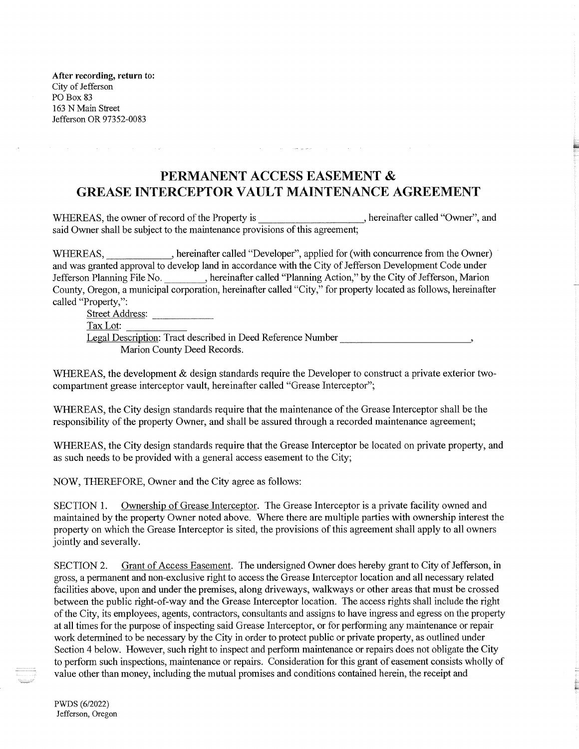After recording, return to: City of Jefferson PO Box 83 163 N Main Street Jefferson OR 97352-0083

## PERMANENT ACCESS EASEMENT & GREASE INTERCEPTOR VAULT MAINTENANCE AGREEMENT

and the state of the state of

WHEREAS, the owner of record of the Property is \_\_\_\_\_\_\_\_\_\_\_\_\_\_\_\_, hereinafter called "Owner", and said Owner shall be subject to the maintenance provisions of this agreement;

WHEREAS, hereinafter called "Developer", applied for (with concurrence from the Owner) and was granted approval to develop land in accordance with the City of Jefferson Development Code under Jefferson Planning File No. , hereinafter called "Planning Action," by the City of Jefferson, Marion County, Oregon, a municipal corporation, hereinafter called "City," for property located as follows, hereinafter called "Property,'':

Street Address: ----- TaxLot: ----- Legal Description: Tract described in Deed Reference Number \_\_\_\_\_\_\_\_\_\_\_ \_ Marion County Deed Records.

WHEREAS, the development & design standards require the Developer to construct a private exterior twocompartment grease interceptor vault, hereinafter called "Grease Interceptor";

WHEREAS, the City design standards require that the maintenance of the Grease Interceptor shall be the responsibility of the property Owner, and shall be assured through a recorded maintenance agreement;

WHEREAS, the City design standards require that the Grease Interceptor be located on private property, and as such needs to be provided with a general access easement to the City;

NOW, THEREFORE, Owner and the City agree as follows:

SECTION 1. Ownership of Grease Interceptor. The Grease Interceptor is a private facility owned and maintained by the property Owner noted above. Where there are multiple parties with ownership interest the property on which the Grease Interceptor is sited, the provisions of this agreement shall apply to all owners jointly and severally.

SECTION 2. Grant of Access Easement. The undersigned Owner does hereby grant to City of Jefferson, in gross, a permanent and non-exclusive right to access the Grease Interceptor location and all necessary related facilities above, upon and under the premises, along driveways, walkways or other areas that must be crossed between the public right-of-way and the Grease Interceptor location. The access rights shall include the right of the City, its employees, agents, contractors, consultants and assigns to have ingress and egress on the property at all times for the purpose of inspecting said Grease Interceptor, or for performing any maintenance or repair work determined to be necessary by the City in order to protect public or private property, as outlined under Section 4 below. However, such right to inspect and perform maintenance or repairs does not obligate the City to perform such inspections, maintenance or repairs. Consideration for this grant of easement consists wholly of value other than money, including the mutual promises and conditions contained herein, the receipt and

PWDS (6/2022) Jefferson, Oregon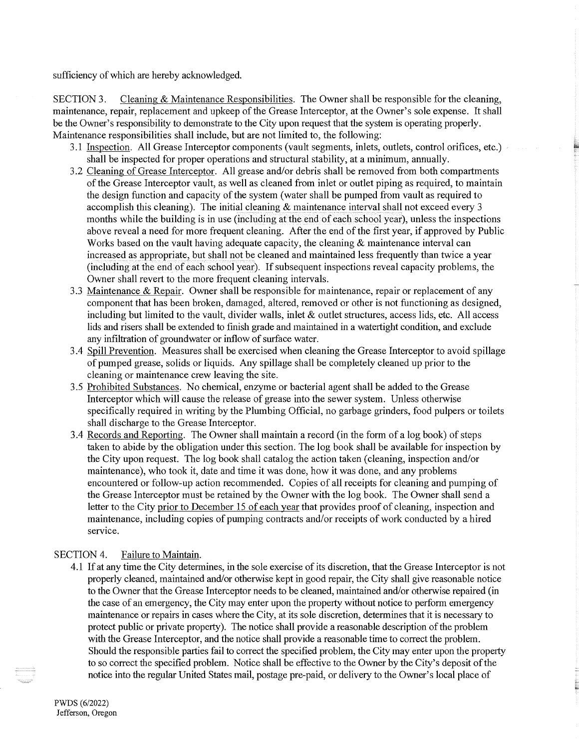sufficiency of which are hereby acknowledged.

SECTION 3. Cleaning & Maintenance Responsibilities. The Owner shall be responsible for the cleaning, maintenance, repair, replacement and upkeep of the Grease Interceptor, at the Owner's sole expense. It shall be the Owner's responsibility to demonstrate to the City upon request that the system is operating properly. Maintenance responsibilities shall include, but are not limited to, the following:

3.1 Inspection. All Grease Interceptor components (vault segments, inlets, outlets, control orifices, etc.) · shall be inspected for proper operations and structural stability, at a minimum, annually.

È

- 3.2 Cleaning of Grease Interceptor. All grease and/or debris shall be removed from both compartments of the Grease Interceptor vault, as well as cleaned from inlet or outlet piping as required, to maintain the design function and capacity of the system (water shall be pumped from vault as required to accomplish this cleaning). The initial cleaning  $\&$  maintenance interval shall not exceed every 3 months while the building is in use (including at the end of each school year), unless the inspections above reveal a need for more frequent cleaning. After the end of the first year, if approved by Public Works based on the vault having adequate capacity, the cleaning & maintenance interval can increased as appropriate, but shall not be cleaned and maintained less frequently than twice a year (including at the end of each school year). If subsequent inspections reveal capacity problems, the Owner shall revert to the more frequent cleaning intervals.
- 3.3 Maintenance & Repair. Owner shall be responsible for maintenance, repair or replacement of any component that has been broken, damaged, altered, removed or other is not functioning as designed, including but limited to the vault, divider walls, inlet & outlet structures, access lids, etc. All access lids and risers shall be extended to finish grade and maintained in a watertight condition, and exclude any infiltration of groundwater or inflow of surface water.
- 3 .4 Spill Prevention. Measures shall be exercised when cleaning the Grease Interceptor to avoid spillage of pumped grease, solids or liquids. Any spillage shall be completely cleaned up prior to the cleaning or maintenance crew leaving the site.
- 3.5 Prohibited Substances. No chemical, enzyme or bacterial agent shall be added to the Grease Interceptor which will cause the release of grease into the sewer system. Unless otherwise specifically required in writing by the Plumbing Official, no garbage grinders, food pulpers or toilets shall discharge to the Grease Interceptor.
- 3.4 Records and Reporting. The Owner shall maintain a record (in the form of a log book) of steps taken to abide by the obligation under this section. The log book shall be available for inspection by the City upon request. The log book shall catalog the action taken (cleaning, inspection and/or maintenance), who took it, date and time it was done, how it was done, and any problems encountered or follow-up action recommended. Copies of all receipts for cleaning and pumping of the Grease Interceptor must be retained by the Owner with the log book. The Owner shall send a letter to the City prior to December 15 of each year that provides proof of cleaning, inspection and maintenance, including copies of pumping contracts and/or receipts of work conducted by a hired service.

## SECTION 4. Failure to Maintain.

4.1 If at any time the City determines, in the sole exercise of its discretion, that the Grease Interceptor is not properly cleaned, maintained and/or otherwise kept in good repair, the City shall give reasonable notice to the Owner that the Grease Interceptor needs to be cleaned, maintained and/or otherwise repaired (in the case of an emergency, the City may enter upon the property without notice to perform emergency maintenance or repairs in cases where the City, at its sole discretion, determines that it is necessary to protect public or private property). The notice shall provide a reasonable description of the problem with the Grease Interceptor, and the notice shall provide a reasonable time to correct the problem. Should the responsible parties fail to correct the specified problem, the City may enter upon the property to so correct the specified problem. Notice shall be effective to the Owner by the City's deposit of the notice into the regular United States mail, postage pre-paid, or delivery to the Owner's local place of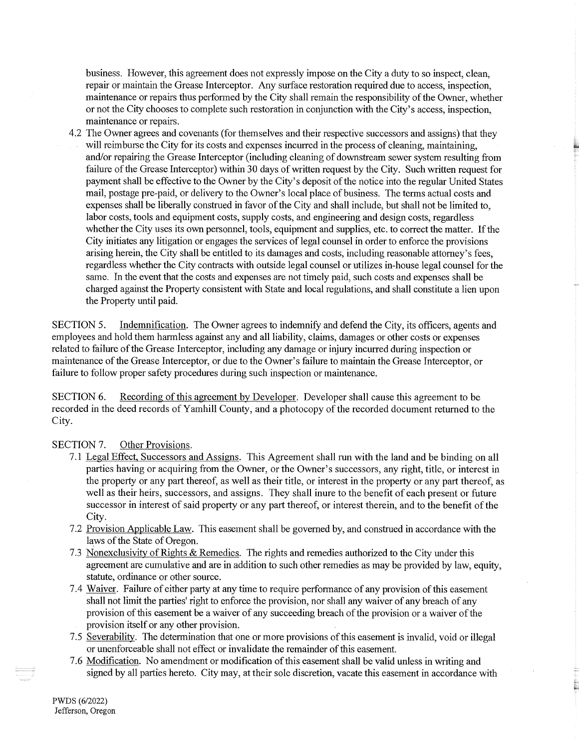business. However, this agreement does not expressly impose on the City a duty to so inspect, clean, repair or maintain the Grease Interceptor. Any surface restoration required due to access, inspection, maintenance or repairs thus performed by the City shall remain the responsibility of the Owner, whether or not the City chooses to complete such restoration in conjunction with the City's access, inspection, maintenance or repairs.

È

4.2 The Owner agrees and covenants (for themselves and their respective successors and assigns) that they will reimburse the City for its costs and expenses incurred in the process of cleaning, maintaining, and/or repairing the Grease Interceptor (including cleaning of downstream sewer system resulting from failure of the Grease Interceptor) within 30 days of written request by the City. Such written request for payment shall be effective to the Owner by the City's deposit of the notice into the regular United States mail, postage pre-paid, or delivery to the Owner's local place of business. The terms actual costs and expenses shall be liberally construed in favor of the City and shall include, but shall not be limited to, labor costs, tools and equipment costs, supply costs, and engineering and design costs, regardless whether the City uses its own personnel, tools, equipment and supplies, etc. to correct the matter. If the City initiates any litigation or engages the services of legal counsel in order to enforce the provisions arising herein, the City shall be entitled to its damages and costs, including reasonable attorney's fees, regardless whether the City contracts with outside legal counsel or utilizes in-house legal counsel for the same. In the event that the costs and expenses are not timely paid, such costs and expenses shall be charged against the Property consistent with State and local regulations, and shall constitute a lien upon the Property until paid.

SECTION 5. Indemnification. The Owner agrees to indemnify and defend the City, its officers, agents and employees and hold them harmless against any and all liability, claims, damages or other costs or expenses related to failure of the Grease Interceptor, including any damage or injury incurred during inspection or maintenance of the Grease Interceptor, or due to the Owner's failure to maintain the Grease Interceptor, or failure to follow proper safety procedures during such inspection or maintenance.

SECTION 6. Recording of this agreement by Developer. Developer shall cause this agreement to be recorded in the deed records of Yamhill County, and a photocopy of the recorded document returned to the City.

## SECTION 7. Other Provisions.

- <sup>7</sup>.1 Legal Effect, Successors and Assigns. This Agreement shall run with the land and be binding on all parties having or acquiring from the Owner, or the Owner's successors, any right, title, or interest in the property or any part thereof, as well as their title, or interest in the property or any part thereof, as well as their heirs, successors, and assigns. They shall inure to the benefit of each present or future successor in interest of said property or any part thereof, or interest therein, and to the benefit of the City.
- 7.2 Provision Applicable Law. This easement shall be governed by, and construed in accordance with the laws of the State of Oregon.
- 7.3 Nonexclusivity of Rights & Remedies. The rights and remedies authorized to the City under this agreement are cumulative and are in addition to such other remedies as may be provided by law, equity, statute, ordinance or other source.
- 7.4 Waiver. Failure of either party at any time to require performance of any provision of this easement shall not limit the parties' right to enforce the provision, nor shall any waiver of any breach of any provision of this easement be a waiver of any succeeding breach of the provision or a waiver of the provision itself or any other provision.
- <sup>7</sup>.5 Severability. The determination that one or more provisions of this easement is invalid, void or illegal or unenforceable shall not effect or invalidate the remainder of this easement.
- 7.6 Modification. No amendment or modification of this easement shall be valid unless in writing and signed by all parties hereto. City may, at their sole discretion, vacate this easement in accordance with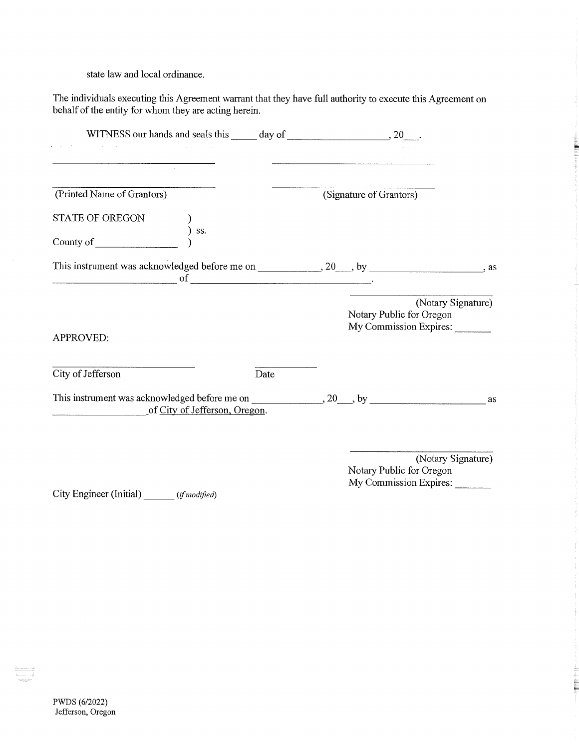state law and local ordinance.

 $\sim$ 

The individuals executing this Agreement warrant that they have full authority to execute this Agreement on behalf of the entity for whom they are acting herein.

| (Printed Name of Grantors)                                                                                                                                                                                                                                                                                                                                                                                                                         | (Signature of Grantors)                                                  |
|----------------------------------------------------------------------------------------------------------------------------------------------------------------------------------------------------------------------------------------------------------------------------------------------------------------------------------------------------------------------------------------------------------------------------------------------------|--------------------------------------------------------------------------|
| STATE OF OREGON<br>SS.                                                                                                                                                                                                                                                                                                                                                                                                                             |                                                                          |
| County of                                                                                                                                                                                                                                                                                                                                                                                                                                          |                                                                          |
| $\overbrace{\hspace{2.5cm}}^{\text{of}}$ $\overbrace{\hspace{2.5cm}}^{\text{of}}$ $\overbrace{\hspace{2.5cm}}^{\text{of}}$ $\overbrace{\hspace{2.5cm}}^{\text{of}}$ $\overbrace{\hspace{2.5cm}}^{\text{of}}$ $\overbrace{\hspace{2.5cm}}^{\text{of}}$ $\overbrace{\hspace{2.5cm}}^{\text{of}}$ $\overbrace{\hspace{2.5cm}}^{\text{of}}$ $\overbrace{\hspace{2.5cm}}^{\text{of}}$ $\overbrace{\hspace{2.5cm}}^{\text{of}}$ $\overbrace{\hspace{2.5$ |                                                                          |
| <b>APPROVED:</b>                                                                                                                                                                                                                                                                                                                                                                                                                                   | (Notary Signature)<br>Notary Public for Oregon<br>My Commission Expires: |
| City of Jefferson<br>Date                                                                                                                                                                                                                                                                                                                                                                                                                          |                                                                          |
| of City of Jefferson, Oregon.                                                                                                                                                                                                                                                                                                                                                                                                                      | as                                                                       |
|                                                                                                                                                                                                                                                                                                                                                                                                                                                    | (Notary Signature)<br>Notary Public for Oregon<br>My Commission Expires: |

City Engineer (Initial) *(if modified)* 

T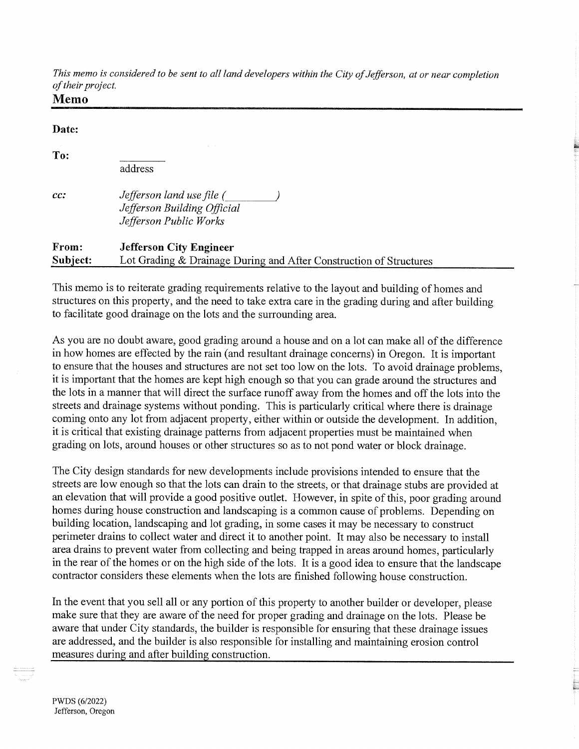*This memo is considered to be sent to all land developers within the City of Jefferson, at or near completion of their project.* 

## **Memo**

| Date:             |                                                                                                      |
|-------------------|------------------------------------------------------------------------------------------------------|
| To:               | address                                                                                              |
| cc:               | Jefferson land use file (<br>Jefferson Building Official<br>Jefferson Public Works                   |
| From:<br>Subject: | <b>Jefferson City Engineer</b><br>Lot Grading & Drainage During and After Construction of Structures |

This memo is to reiterate grading requirements relative to the layout and building of homes and structures on this property, and the need to take extra care in the grading during and after building to facilitate good drainage on the lots and the surrounding area.

As you are no doubt aware, good grading around a house and on a lot can make all of the difference in how homes are effected by the rain (and resultant drainage concerns) in Oregon. It is important to ensure that the houses and structures are not set too low on the lots. To avoid drainage problems, it is important that the homes are kept high enough so that you can grade around the structures and the lots in a manner that will direct the surface runoff away from the homes and off the lots into the streets and drainage systems without ponding. This is particularly critical where there is drainage coming onto any lot from adjacent property, either within or outside the development. In addition, it is critical that existing drainage patterns from adjacent properties must be maintained when grading on lots, around houses or other structures so as to not pond water or block drainage.

The City design standards for new developments include provisions intended to ensure that the streets are low enough so that the lots can drain to the streets, or that drainage stubs are provided at an elevation that will provide a good positive outlet. However, in spite of this, poor grading around homes during house construction and landscaping is a common cause of problems. Depending on building location, landscaping and lot grading, in some cases it may be necessary to construct perimeter drains to collect water and direct it to another point. It may also be necessary to install area drains to prevent water from collecting and being trapped in areas around homes, particularly in the rear of the homes or on the high side of the lots. It is a good idea to ensure that the landscape contractor considers these elements when the lots are finished following house construction.

In the event that you sell all or any portion of this property to another builder or developer, please make sure that they are aware of the need for proper grading and drainage on the lots. Please be aware that under City standards, the builder is responsible for ensuring that these drainage issues are addressed, and the builder is also responsible for installing and maintaining erosion control measures during and after building construction.